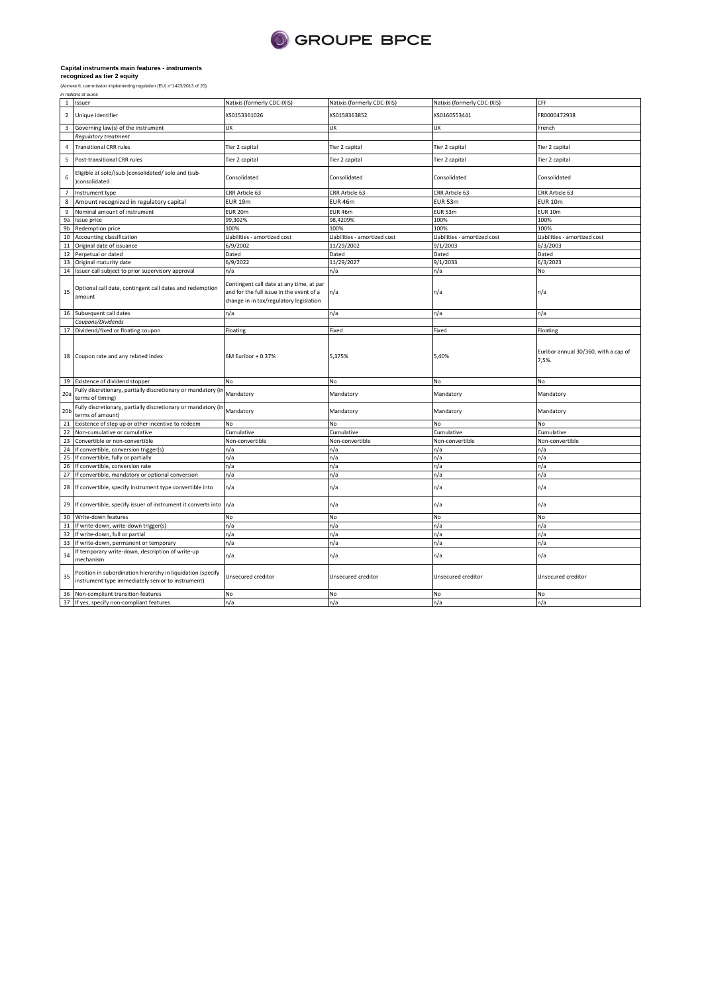

(Annexe II, commission implementing regulation (EU) n°1423/2013 of 20) in millions of euros

|                 | 1 Issuer                                                                                                         | Natixis (formerly CDC-IXIS)                                                                                                     | Natixis (formerly CDC-IXIS)  | Natixis (formerly CDC-IXIS)  | CFF                                           |
|-----------------|------------------------------------------------------------------------------------------------------------------|---------------------------------------------------------------------------------------------------------------------------------|------------------------------|------------------------------|-----------------------------------------------|
| $\overline{2}$  | Unique identifier                                                                                                | XS0153361026                                                                                                                    | XS0158363852                 | XS0160553441                 | FR0000472938                                  |
| 3               | Governing law(s) of the instrument                                                                               | UK                                                                                                                              | UK                           | UK                           | French                                        |
|                 | Regulatory treatment                                                                                             |                                                                                                                                 |                              |                              |                                               |
| $\sqrt{4}$      | <b>Transitional CRR rules</b>                                                                                    | Tier 2 capital                                                                                                                  | Tier 2 capital               | Tier 2 capital               | Tier 2 capital                                |
| 5               | Post-transitional CRR rules                                                                                      | Tier 2 capital                                                                                                                  | Tier 2 capital               | Tier 2 capital               | Tier 2 capital                                |
| 6               | Eligible at solo/(sub-)consolidated/ solo and (sub-<br>)consolidated                                             | Consolidated                                                                                                                    | Consolidated                 | Consolidated                 | Consolidated                                  |
| $\overline{7}$  | Instrument type                                                                                                  | CRR Article 63                                                                                                                  | CRR Article 63               | CRR Article 63               | CRR Article 63                                |
| 8               | Amount recognized in regulatory capital                                                                          | <b>EUR 19m</b>                                                                                                                  | EUR 46m                      | EUR 53m                      | <b>EUR 10m</b>                                |
| 9               | Nominal amount of instrument                                                                                     | EUR 20m                                                                                                                         | EUR 46m                      | EUR 53m                      | <b>EUR 10m</b>                                |
| 9a              | Issue price                                                                                                      | 99,302%                                                                                                                         | 98,4209%                     | 100%                         | 100%                                          |
| 9 <sub>b</sub>  | Redemption price                                                                                                 | 100%                                                                                                                            | 100%                         | 100%                         | 100%                                          |
| 10              | Accounting classification                                                                                        | Liabilities - amortized cost                                                                                                    | Liabilities - amortized cost | Liabilities - amortized cost | Liabilities - amortized cost                  |
| 11              | Original date of issuance                                                                                        | 6/9/2002                                                                                                                        | 11/29/2002                   | 9/1/2003                     | 6/3/2003                                      |
|                 | 12 Perpetual or dated                                                                                            | Dated                                                                                                                           | Dated                        | Dated                        | Dated                                         |
|                 | 13 Original maturity date                                                                                        | 6/9/2022                                                                                                                        | 11/29/2027                   | 9/1/2033                     | 6/3/2023                                      |
|                 | 14 Issuer call subject to prior supervisory approval                                                             | n/a                                                                                                                             | n/a                          | n/a                          | No                                            |
| 15              | Optional call date, contingent call dates and redemption<br>amount                                               | Contingent call date at any time, at par<br>and for the full issue in the event of a<br>change in in tax/regulatory legislation | n/a                          | n/a                          | n/a                                           |
|                 | 16 Subsequent call dates                                                                                         | n/a                                                                                                                             | n/a                          | n/a                          | n/a                                           |
|                 | Coupons/Dividends                                                                                                |                                                                                                                                 |                              |                              |                                               |
|                 | 17 Dividend/fixed or floating coupon                                                                             | Floating                                                                                                                        | Fixed                        | Fixed                        | Floating                                      |
|                 | 18 Coupon rate and any related index                                                                             | 6M Euribor + 0.37%                                                                                                              | 5,375%                       | 5,40%                        | Euribor annual 30/360, with a cap of<br>7,5%. |
|                 | 19 Existence of dividend stopper                                                                                 | No                                                                                                                              | No                           | No                           | No                                            |
| 20a             | Fully discretionary, partially discretionary or mandatory (in<br>terms of timing)                                | Mandatory                                                                                                                       | Mandatory                    | Mandatory                    | Mandatory                                     |
| 20 <sub>b</sub> | Fully discretionary, partially discretionary or mandatory (in<br>terms of amount)                                | Mandatory                                                                                                                       | Mandatory                    | Mandatory                    | Mandatory                                     |
|                 | 21 Existence of step up or other incentive to redeem                                                             | No                                                                                                                              | No                           | No                           | No                                            |
| 22              | Non-cumulative or cumulative                                                                                     | Cumulative                                                                                                                      | Cumulative                   | Cumulative                   | Cumulative                                    |
|                 | 23 Convertible or non-convertible                                                                                | Non-convertible                                                                                                                 | Non-convertible              | Non-convertible              | Non-convertible                               |
|                 | 24 If convertible, conversion trigger(s)                                                                         | n/a                                                                                                                             | n/a                          | n/a                          | n/a                                           |
|                 | 25 If convertible, fully or partially                                                                            | n/a                                                                                                                             | n/a                          | n/a                          | n/a                                           |
|                 | 26 If convertible, conversion rate                                                                               | n/a                                                                                                                             | n/a                          | n/a                          | n/a                                           |
|                 | 27 If convertible, mandatory or optional conversion                                                              | n/a                                                                                                                             | n/a                          | n/a                          | n/a                                           |
| 28              | If convertible, specify instrument type convertible into                                                         | n/a                                                                                                                             | n/a                          | n/a                          | n/a                                           |
|                 | 29 If convertible, specify issuer of instrument it converts into                                                 | n/a                                                                                                                             | n/a                          | n/a                          | n/a                                           |
|                 | 30 Write-down features                                                                                           | No                                                                                                                              | No                           | No                           | No                                            |
|                 | 31 If write-down, write-down trigger(s)                                                                          | n/a                                                                                                                             | n/a                          | n/a                          | n/a                                           |
| 32              | If write-down, full or partial                                                                                   | n/a                                                                                                                             | n/a                          | n/a                          | n/a                                           |
| 33              | If write-down, permanent or temporary                                                                            | n/a                                                                                                                             | n/a                          | n/a                          | n/a                                           |
| 34              | If temporary write-down, description of write-up<br>mechanism                                                    | n/a                                                                                                                             | n/a                          | n/a                          | n/a                                           |
| 35              | Position in subordination hierarchy in liquidation (specify<br>instrument type immediately senior to instrument) | Unsecured creditor                                                                                                              | Unsecured creditor           | Unsecured creditor           | Unsecured creditor                            |
|                 | 36 Non-compliant transition features                                                                             | No                                                                                                                              | No                           | <b>No</b>                    | No                                            |
|                 | 37 If yes, specify non-compliant features                                                                        | n/a                                                                                                                             | n/a                          | n/a                          | n/a                                           |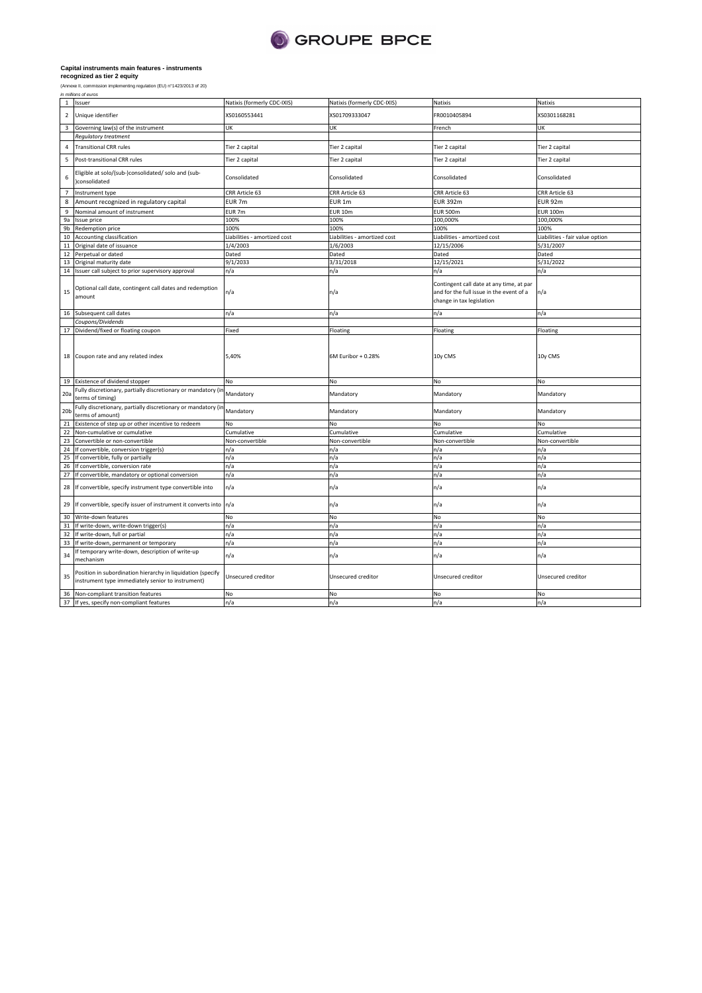

|                 | (Annexe II, commission implementing regulation (EU) n°1423/2013 of 20)<br>in millions of euros                   |                              |                              |                                                                                                                   |                                 |
|-----------------|------------------------------------------------------------------------------------------------------------------|------------------------------|------------------------------|-------------------------------------------------------------------------------------------------------------------|---------------------------------|
| $\mathbf{1}$    | Issuer                                                                                                           | Natixis (formerly CDC-IXIS)  | Natixis (formerly CDC-IXIS)  | Natixis                                                                                                           | Natixis                         |
| $\overline{2}$  | Unique identifier                                                                                                | XS0160553441                 | XS01709333047                | FR0010405894                                                                                                      | XS0301168281                    |
| 3               | Governing law(s) of the instrument                                                                               | UK                           | UK                           | French                                                                                                            | UK                              |
|                 | Regulatory treatment                                                                                             |                              |                              |                                                                                                                   |                                 |
| 4               | <b>Transitional CRR rules</b>                                                                                    | Tier 2 capital               | Tier 2 capital               | Tier 2 capital                                                                                                    | Tier 2 capital                  |
| 5               | Post-transitional CRR rules                                                                                      | Tier 2 capital               | Tier 2 capital               | Tier 2 capital                                                                                                    | Tier 2 capital                  |
| 6               | Eligible at solo/(sub-)consolidated/ solo and (sub-<br>consolidated                                              | Consolidated                 | Consolidated                 | Consolidated                                                                                                      | Consolidated                    |
| $\overline{7}$  | Instrument type                                                                                                  | CRR Article 63               | CRR Article 63               | CRR Article 63                                                                                                    | CRR Article 63                  |
| 8               | Amount recognized in regulatory capital                                                                          | EUR 7m                       | EUR 1m                       | <b>EUR 392m</b>                                                                                                   | <b>EUR 92m</b>                  |
| 9               | Nominal amount of instrument                                                                                     | EUR 7m                       | <b>EUR 10m</b>               | <b>EUR 500m</b>                                                                                                   | <b>EUR 100m</b>                 |
| 9a              | Issue price                                                                                                      | 100%                         | 100%                         | 100,000%                                                                                                          | 100,000%                        |
| 9 <sub>b</sub>  | Redemption price                                                                                                 | 100%                         | 100%                         | 100%                                                                                                              | 100%                            |
| 10              | Accounting classification                                                                                        | Liabilities - amortized cost | Liabilities - amortized cost | Liabilities - amortized cost                                                                                      | Liabilities - fair value option |
| 11              | Original date of issuance                                                                                        | 1/4/2003                     | 1/6/2003                     | 12/15/2006                                                                                                        | 5/31/2007                       |
| 12              | Perpetual or dated                                                                                               | Dated                        | Dated                        | Dated                                                                                                             | Dated                           |
| 13              | Original maturity date                                                                                           | 9/1/2033                     | 3/31/2018                    | 12/15/2021                                                                                                        | 5/31/2022                       |
|                 | 14 Issuer call subject to prior supervisory approval                                                             | n/a                          | n/a                          | n/a                                                                                                               | n/a                             |
|                 |                                                                                                                  |                              |                              |                                                                                                                   |                                 |
| 15              | Optional call date, contingent call dates and redemption<br>amount                                               | n/a                          | n/a                          | Contingent call date at any time, at par<br>and for the full issue in the event of a<br>change in tax legislation | n/a                             |
|                 | 16 Subsequent call dates                                                                                         | n/a                          | n/a                          | n/a                                                                                                               | n/a                             |
|                 | Coupons/Dividends                                                                                                |                              |                              |                                                                                                                   |                                 |
|                 | 17 Dividend/fixed or floating coupon                                                                             | Fixed                        | Floating                     | Floating                                                                                                          | Floating                        |
|                 | 18 Coupon rate and any related index                                                                             | 5,40%                        | 6M Euribor + 0.28%           | 10y CMS                                                                                                           | 10y CMS                         |
|                 | 19 Existence of dividend stopper                                                                                 | No                           | No                           | No                                                                                                                | No                              |
| 20a             | Fully discretionary, partially discretionary or mandatory (in<br>terms of timing)                                | Mandatory                    | Mandatory                    | Mandatory                                                                                                         | Mandatory                       |
| 20 <sub>b</sub> | Fully discretionary, partially discretionary or mandatory (in<br>terms of amount)                                | Mandatory                    | Mandatory                    | Mandatory                                                                                                         | Mandatory                       |
| 21              | Existence of step up or other incentive to redeem                                                                | No                           | No                           | No                                                                                                                | No                              |
| 22              | Non-cumulative or cumulative                                                                                     | Cumulative                   | Cumulative                   | Cumulative                                                                                                        | Cumulative                      |
| 23              | Convertible or non-convertible                                                                                   | Non-convertible              | Non-convertible              | Non-convertible                                                                                                   | Non-convertible                 |
| 24              | If convertible, conversion trigger(s)                                                                            | n/a                          | n/a                          | n/a                                                                                                               | n/a                             |
| 25              | If convertible, fully or partially                                                                               | n/a                          | n/a                          | n/a                                                                                                               | n/a                             |
| 26              | If convertible, conversion rate                                                                                  | n/a                          | n/a                          | n/a                                                                                                               | n/a                             |
| 27              | If convertible, mandatory or optional conversion                                                                 | n/a                          | n/a                          | n/a                                                                                                               | n/a                             |
| 28              | If convertible, specify instrument type convertible into                                                         | n/a                          | n/a                          | n/a                                                                                                               | n/a                             |
|                 | 29 If convertible, specify issuer of instrument it converts into                                                 | n/a                          | n/a                          | n/a                                                                                                               | n/a                             |
| 30              | Write-down features                                                                                              | No                           | No                           | No                                                                                                                | No                              |
| 31              | If write-down, write-down trigger(s)                                                                             | n/a                          | n/a                          | n/a                                                                                                               | n/a                             |
| 32              | If write-down, full or partial                                                                                   | n/a                          | n/a                          | n/a                                                                                                               | n/a                             |
| 33              | If write-down, permanent or temporary                                                                            | n/a                          | n/a                          | n/a                                                                                                               | n/a                             |
| 34              | If temporary write-down, description of write-up<br>mechanism                                                    | n/a                          | n/a                          | n/a                                                                                                               | n/a                             |
| 35              | Position in subordination hierarchy in liquidation (specify<br>instrument type immediately senior to instrument) | Unsecured creditor           | Unsecured creditor           | Unsecured creditor                                                                                                | Unsecured creditor              |
| 36              | Non-compliant transition features                                                                                | No                           | No                           | No                                                                                                                | No                              |
|                 | 37 If yes, specify non-compliant features                                                                        | n/a                          | n/a                          | n/a                                                                                                               | n/a                             |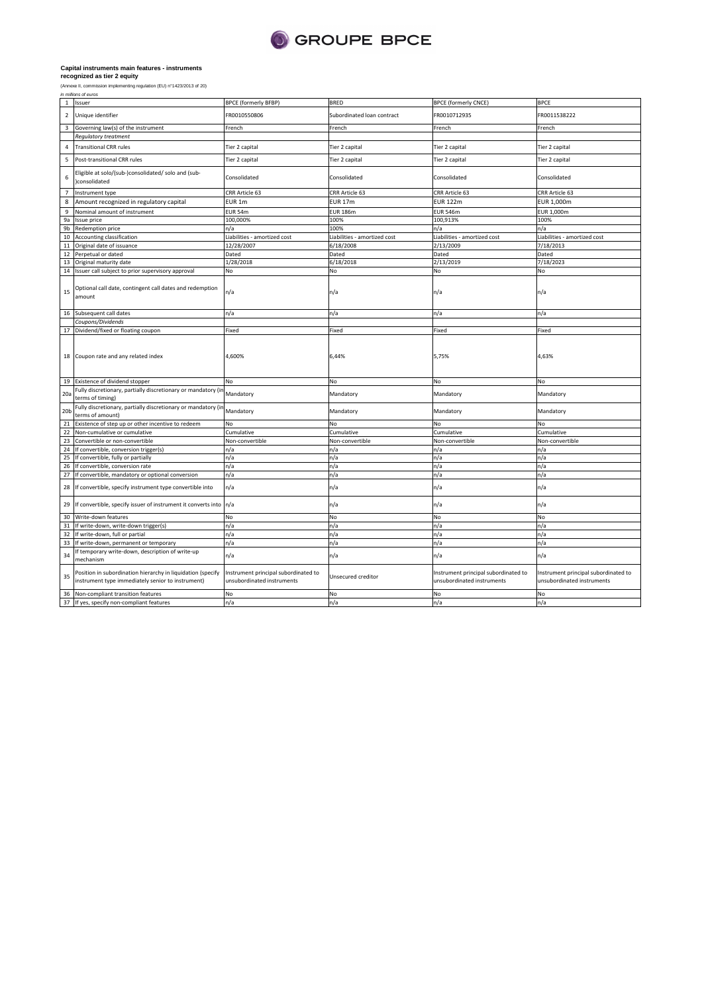

| (Annexe II, commission implementing regulation (EU) n°1423/2013 of 20) |
|------------------------------------------------------------------------|
| in millions of euros                                                   |

|                 | 1 Issuer                                                                                                         | BPCE (formerly BFBP)                                               | <b>BRED</b>                  | <b>BPCE (formerly CNCE)</b>                                        | <b>BPCE</b>                                                        |
|-----------------|------------------------------------------------------------------------------------------------------------------|--------------------------------------------------------------------|------------------------------|--------------------------------------------------------------------|--------------------------------------------------------------------|
| $\overline{2}$  | Unique identifier                                                                                                | FR0010550806                                                       | Subordinated loan contract   | FR0010712935                                                       | FR0011538222                                                       |
| 3               | Governing law(s) of the instrument                                                                               | French                                                             | French                       | French                                                             | French                                                             |
|                 | <b>Regulatory treatment</b>                                                                                      |                                                                    |                              |                                                                    |                                                                    |
| $\overline{4}$  | <b>Transitional CRR rules</b>                                                                                    | Tier 2 capital                                                     | Tier 2 capital               | Tier 2 capital                                                     | Tier 2 capital                                                     |
| 5               | Post-transitional CRR rules                                                                                      | Tier 2 capital                                                     | Tier 2 capital               | Tier 2 capital                                                     | Tier 2 capital                                                     |
| 6               | Eligible at solo/(sub-)consolidated/ solo and (sub-<br>)consolidated                                             | Consolidated                                                       | Consolidated                 | Consolidated                                                       | Consolidated                                                       |
| $\overline{7}$  | Instrument type                                                                                                  | CRR Article 63                                                     | CRR Article 63               | CRR Article 63                                                     | CRR Article 63                                                     |
| 8               | Amount recognized in regulatory capital                                                                          | EUR <sub>1m</sub>                                                  | <b>EUR 17m</b>               | <b>EUR 122m</b>                                                    | EUR 1,000m                                                         |
| 9               | Nominal amount of instrument                                                                                     | EUR 54m                                                            | <b>EUR 186m</b>              | <b>EUR 546m</b>                                                    | EUR 1,000m                                                         |
| 9a              | Issue price                                                                                                      | 100,000%                                                           | 100%                         | 100,913%                                                           | 100%                                                               |
| 9b              | Redemption price                                                                                                 | n/a                                                                | 100%                         | n/a                                                                | n/a                                                                |
| $10\,$          | Accounting classification                                                                                        | Liabilities - amortized cost                                       | Liabilities - amortized cost | Liabilities - amortized cost                                       | Liabilities - amortized cost                                       |
|                 | 11 Original date of issuance                                                                                     | 12/28/2007                                                         | 6/18/2008                    | 2/13/2009                                                          | 7/18/2013                                                          |
| 12              | Perpetual or dated                                                                                               | Dated                                                              | Dated                        | Dated                                                              | Dated                                                              |
|                 | 13 Original maturity date                                                                                        | 1/28/2018                                                          | 6/18/2018                    | 2/13/2019                                                          | 7/18/2023                                                          |
| $14\,$          | Issuer call subject to prior supervisory approval                                                                | No                                                                 | No                           | No                                                                 | No                                                                 |
| 15              | Optional call date, contingent call dates and redemption<br>amount                                               | n/a                                                                | n/a                          | n/a                                                                | n/a                                                                |
|                 | 16 Subsequent call dates                                                                                         | n/a                                                                | n/a                          | n/a                                                                | n/a                                                                |
|                 | Coupons/Dividends                                                                                                |                                                                    |                              |                                                                    |                                                                    |
|                 | 17 Dividend/fixed or floating coupon                                                                             | Fixed                                                              | Fixed                        | Fixed                                                              | Fixed                                                              |
|                 | 18 Coupon rate and any related index                                                                             | 4,600%                                                             | 6,44%                        | 5,75%                                                              | 4,63%                                                              |
|                 | 19 Existence of dividend stopper                                                                                 | No                                                                 | No                           | No                                                                 | No                                                                 |
| 20a             | Fully discretionary, partially discretionary or mandatory (ir<br>terms of timing)                                | Mandatory                                                          | Mandatory                    | Mandatory                                                          | Mandatory                                                          |
| 20 <sub>b</sub> | Fully discretionary, partially discretionary or mandatory (ir<br>terms of amount)                                | Mandatory                                                          | Mandatory                    | Mandatory                                                          | Mandatory                                                          |
| $\overline{21}$ | Existence of step up or other incentive to redeem                                                                | No                                                                 | No                           | No                                                                 | <b>No</b>                                                          |
|                 | 22 Non-cumulative or cumulative                                                                                  | Cumulative                                                         | Cumulative                   | Cumulative                                                         | Cumulative                                                         |
| 23              | Convertible or non-convertible                                                                                   | Non-convertible                                                    | Non-convertible              | Non-convertible                                                    | Non-convertible                                                    |
|                 | 24 If convertible, conversion trigger(s)                                                                         | n/a                                                                | n/a                          | n/a                                                                | n/a                                                                |
| 25              | If convertible, fully or partially                                                                               | n/a                                                                | n/a                          | n/a                                                                | n/a                                                                |
|                 | 26 If convertible, conversion rate                                                                               | n/a                                                                | n/a                          | n/a                                                                | n/a                                                                |
| 27              | If convertible, mandatory or optional conversion                                                                 | n/a                                                                | n/a                          | n/a                                                                | n/a                                                                |
| 28              | If convertible, specify instrument type convertible into                                                         | n/a                                                                | n/a                          | n/a                                                                | n/a                                                                |
| 29              | If convertible, specify issuer of instrument it converts into                                                    | n/a                                                                | n/a                          | n/a                                                                | n/a                                                                |
|                 | 30 Write-down features                                                                                           | No                                                                 | No                           | No                                                                 | No                                                                 |
| 31              | If write-down, write-down trigger(s)                                                                             | n/a                                                                | n/a                          | n/a                                                                | n/a                                                                |
|                 | 32 If write-down, full or partial                                                                                | n/a                                                                | n/a                          | n/a                                                                | n/a                                                                |
| 33              | If write-down, permanent or temporary                                                                            | n/a                                                                | n/a                          | n/a                                                                | n/a                                                                |
| 34              | If temporary write-down, description of write-up<br>mechanism                                                    | n/a                                                                | n/a                          | n/a                                                                | n/a                                                                |
| 35              | Position in subordination hierarchy in liquidation (specify<br>instrument type immediately senior to instrument) | Instrument principal subordinated to<br>unsubordinated instruments | Unsecured creditor           | Instrument principal subordinated to<br>unsubordinated instruments | Instrument principal subordinated to<br>unsubordinated instruments |
|                 | 36 Non-compliant transition features                                                                             | No                                                                 | No                           | No                                                                 | No                                                                 |
|                 | 37 If yes, specify non-compliant features                                                                        | n/a                                                                | n/a                          | n/a                                                                | n/a                                                                |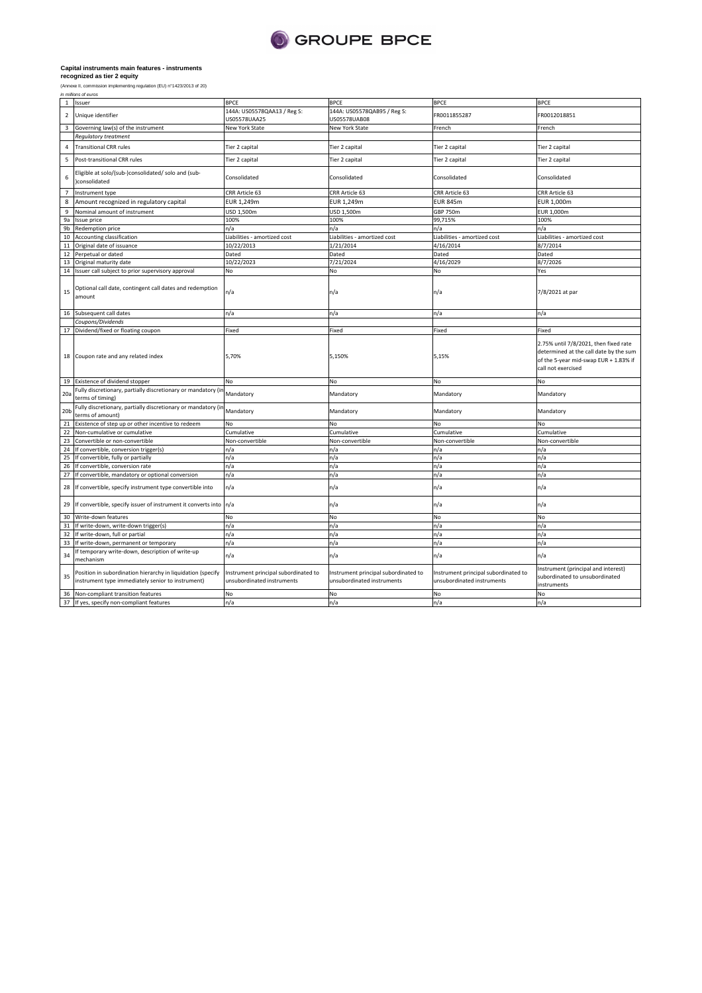

(Annexe II, commission implementing regulation (EU) n°1423/2013 of 20) in millions of euros

| $\mathbf{1}$     | Issuer                                                                                                           | <b>BPCE</b>                                                        | <b>BPCE</b>                                                        | <b>BPCE</b>                                                        | <b>BPCE</b>                                                                                                                                    |
|------------------|------------------------------------------------------------------------------------------------------------------|--------------------------------------------------------------------|--------------------------------------------------------------------|--------------------------------------------------------------------|------------------------------------------------------------------------------------------------------------------------------------------------|
| $\overline{2}$   | Unique identifier                                                                                                | 144A: US05578QAA13 / Reg S:<br>US05578UAA25                        | 144A: US05578QAB95 / Reg S:<br>JS05578UAB08                        | FR0011855287                                                       | FR0012018851                                                                                                                                   |
| 3                | Governing law(s) of the instrument                                                                               | New York State                                                     | New York State                                                     | French                                                             | French                                                                                                                                         |
|                  | Regulatory treatment                                                                                             |                                                                    |                                                                    |                                                                    |                                                                                                                                                |
| $\sqrt{4}$       | <b>Transitional CRR rules</b>                                                                                    | Tier 2 capital                                                     | Tier 2 capital                                                     | Tier 2 capital                                                     | Tier 2 capital                                                                                                                                 |
| 5                | Post-transitional CRR rules                                                                                      | Tier 2 capital                                                     | Tier 2 capital                                                     | Tier 2 capital                                                     | Tier 2 capital                                                                                                                                 |
| 6                | Eligible at solo/(sub-)consolidated/ solo and (sub-<br>)consolidated                                             | Consolidated                                                       | Consolidated                                                       | Consolidated                                                       | Consolidated                                                                                                                                   |
| $\overline{7}$   | Instrument type                                                                                                  | CRR Article 63                                                     | CRR Article 63                                                     | CRR Article 63                                                     | CRR Article 63                                                                                                                                 |
| 8                | Amount recognized in regulatory capital                                                                          | EUR 1,249m                                                         | EUR 1,249m                                                         | <b>EUR 845m</b>                                                    | EUR 1,000m                                                                                                                                     |
| $\boldsymbol{9}$ | Nominal amount of instrument                                                                                     | USD 1,500m                                                         | USD 1,500m                                                         | <b>GBP 750m</b>                                                    | EUR 1,000m                                                                                                                                     |
| 9a               | Issue price                                                                                                      | 100%                                                               | 100%                                                               | 99,715%                                                            | 100%                                                                                                                                           |
| 9b               | Redemption price                                                                                                 | n/a                                                                | n/a                                                                | n/a                                                                | n/a                                                                                                                                            |
| 10               | Accounting classification                                                                                        | Liabilities - amortized cost                                       | Liabilities - amortized cost                                       | Liabilities - amortized cost                                       | Liabilities - amortized cost                                                                                                                   |
| 11               | Original date of issuance                                                                                        | 10/22/2013                                                         | 1/21/2014                                                          | 4/16/2014                                                          | 8/7/2014                                                                                                                                       |
| 12               | Perpetual or dated                                                                                               | Dated                                                              | Dated                                                              | Dated                                                              | Dated                                                                                                                                          |
| 13               | Original maturity date                                                                                           | 10/22/2023                                                         | 7/21/2024                                                          | 4/16/2029                                                          | 8/7/2026                                                                                                                                       |
| 14               | Issuer call subject to prior supervisory approval                                                                | No                                                                 | No                                                                 | No                                                                 | Yes                                                                                                                                            |
| 15               | Optional call date, contingent call dates and redemption<br>amount                                               | n/a                                                                | n/a                                                                | n/a                                                                | 7/8/2021 at par                                                                                                                                |
| 16               | Subsequent call dates                                                                                            | n/a                                                                | n/a                                                                | n/a                                                                | n/a                                                                                                                                            |
|                  | Coupons/Dividends                                                                                                |                                                                    |                                                                    |                                                                    |                                                                                                                                                |
| 17               | Dividend/fixed or floating coupon                                                                                | Fixed                                                              | Fixed                                                              | Fixed                                                              | Fixed                                                                                                                                          |
| 18               | Coupon rate and any related index                                                                                | 5,70%                                                              | 5,150%                                                             | 5,15%                                                              | 2.75% until 7/8/2021, then fixed rate<br>determined at the call date by the sum<br>of the 5-year mid-swap EUR + 1.83% if<br>call not exercised |
| 19               | Existence of dividend stopper                                                                                    | No                                                                 | No                                                                 | No                                                                 | No                                                                                                                                             |
| 20a              | Fully discretionary, partially discretionary or mandatory (ir<br>terms of timing)                                | Mandatory                                                          | Mandatory                                                          | Mandatory                                                          | Mandatory                                                                                                                                      |
| 20 <sub>b</sub>  | Fully discretionary, partially discretionary or mandatory (ir<br>terms of amount)                                | Mandatory                                                          | Mandatory                                                          | Mandatory                                                          | Mandatory                                                                                                                                      |
| 21               | Existence of step up or other incentive to redeem                                                                | No                                                                 | No                                                                 | No                                                                 | No                                                                                                                                             |
| 22               | Non-cumulative or cumulative                                                                                     | Cumulative                                                         | Cumulative                                                         | Cumulative                                                         | Cumulative                                                                                                                                     |
| 23               | Convertible or non-convertible                                                                                   | Non-convertible                                                    | Non-convertible                                                    | Non-convertible                                                    | Non-convertible                                                                                                                                |
| 24               | If convertible, conversion trigger(s)                                                                            | n/a                                                                | n/a                                                                | n/a                                                                | n/a                                                                                                                                            |
| 25               | If convertible, fully or partially                                                                               | n/a                                                                | n/a                                                                | n/a                                                                | n/a                                                                                                                                            |
| 26               | If convertible, conversion rate                                                                                  | n/a                                                                | n/a                                                                | n/a                                                                | n/a                                                                                                                                            |
| 27               | If convertible, mandatory or optional conversion                                                                 | n/a                                                                | n/a                                                                | n/a                                                                | n/a                                                                                                                                            |
| 28               | If convertible, specify instrument type convertible into                                                         | n/a                                                                | n/a                                                                | n/a                                                                | n/a                                                                                                                                            |
| 29               | If convertible, specify issuer of instrument it converts into                                                    | n/a                                                                | n/a                                                                | n/a                                                                | n/a                                                                                                                                            |
| 30               | Write-down features                                                                                              | No                                                                 | No                                                                 | No                                                                 | <b>No</b>                                                                                                                                      |
| 31               | If write-down, write-down trigger(s)                                                                             | n/a                                                                | n/a                                                                | n/a                                                                | n/a                                                                                                                                            |
| 32               | If write-down, full or partial                                                                                   | n/a                                                                | n/a                                                                | n/a                                                                | n/a                                                                                                                                            |
| 33               | If write-down, permanent or temporary                                                                            | n/a                                                                | n/a                                                                | n/a                                                                | n/a                                                                                                                                            |
| 34               | If temporary write-down, description of write-up<br>mechanism                                                    | n/a                                                                | n/a                                                                | n/a                                                                | n/a                                                                                                                                            |
| 35               | Position in subordination hierarchy in liquidation (specify<br>instrument type immediately senior to instrument) | Instrument principal subordinated to<br>unsubordinated instruments | Instrument principal subordinated to<br>unsubordinated instruments | Instrument principal subordinated to<br>unsubordinated instruments | Instrument (principal and interest)<br>subordinated to unsubordinated<br>instruments                                                           |
| 36               | Non-compliant transition features                                                                                | No                                                                 | No                                                                 | No                                                                 | No                                                                                                                                             |
|                  | 37 If yes, specify non-compliant features                                                                        | n/a                                                                | n/a                                                                | n/a                                                                | n/a                                                                                                                                            |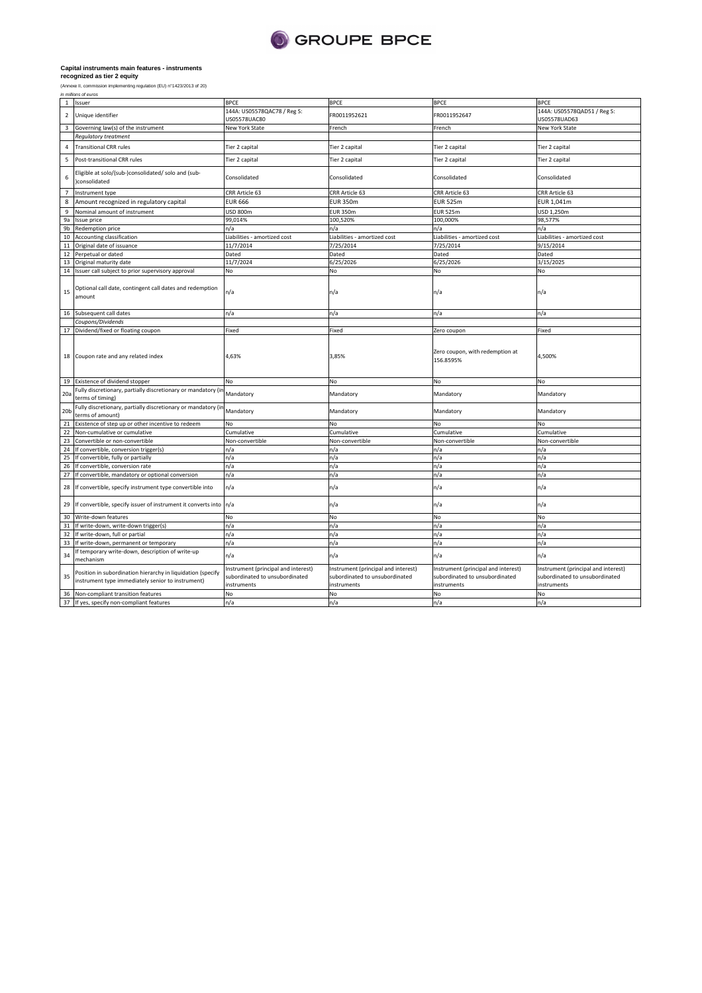

| (Annexe II, commission implementing regulation (EU |  |  |
|----------------------------------------------------|--|--|
| in millions of euros                               |  |  |

|                 | 1 Issuer                                                                                                         | <b>BPCE</b>                                                                          | <b>BPCE</b>                                                                          | <b>BPCE</b>                                                                          | <b>BPCE</b>                                                                          |
|-----------------|------------------------------------------------------------------------------------------------------------------|--------------------------------------------------------------------------------------|--------------------------------------------------------------------------------------|--------------------------------------------------------------------------------------|--------------------------------------------------------------------------------------|
| $\overline{2}$  | Unique identifier                                                                                                | 144A: US05578QAC78 / Reg S:                                                          | FR0011952621                                                                         | FR0011952647                                                                         | 144A: US05578QAD51 / Reg S:                                                          |
|                 |                                                                                                                  | US05578UAC80                                                                         |                                                                                      |                                                                                      | US05578UAD63                                                                         |
| 3               | Governing law(s) of the instrument                                                                               | <b>New York State</b>                                                                | French                                                                               | French                                                                               | <b>New York State</b>                                                                |
|                 | Regulatory treatment                                                                                             |                                                                                      |                                                                                      |                                                                                      |                                                                                      |
| $\overline{4}$  | <b>Transitional CRR rules</b>                                                                                    | Tier 2 capital                                                                       | Tier 2 capital                                                                       | Tier 2 capital                                                                       | Tier 2 capital                                                                       |
| 5               | Post-transitional CRR rules                                                                                      | Tier 2 capital                                                                       | Tier 2 capital                                                                       | Tier 2 capital                                                                       | Tier 2 capital                                                                       |
| 6               | Eligible at solo/(sub-)consolidated/ solo and (sub-<br>)consolidated                                             | Consolidated                                                                         | Consolidated                                                                         | Consolidated                                                                         | Consolidated                                                                         |
| $\overline{7}$  | Instrument type                                                                                                  | CRR Article 63                                                                       | CRR Article 63                                                                       | CRR Article 63                                                                       | CRR Article 63                                                                       |
| 8               | Amount recognized in regulatory capital                                                                          | <b>EUR 666</b>                                                                       | <b>EUR 350m</b>                                                                      | <b>EUR 525m</b>                                                                      | EUR 1,041m                                                                           |
| 9               | Nominal amount of instrument                                                                                     | USD 800m                                                                             | <b>EUR 350m</b>                                                                      | <b>EUR 525m</b>                                                                      | USD 1,250m                                                                           |
| 9a              | Issue price                                                                                                      | 99,014%                                                                              | 100,520%                                                                             | 100,000%                                                                             | 98,577%                                                                              |
| 9b              | Redemption price                                                                                                 | n/a                                                                                  | n/a                                                                                  | n/a                                                                                  | n/a                                                                                  |
| 10              | Accounting classification                                                                                        | Liabilities - amortized cost                                                         | Liabilities - amortized cost                                                         | Liabilities - amortized cost                                                         | Liabilities - amortized cost                                                         |
| 11              | Original date of issuance                                                                                        | 11/7/2014                                                                            | 7/25/2014                                                                            | 7/25/2014                                                                            | 9/15/2014                                                                            |
| 12              | Perpetual or dated                                                                                               | Dated                                                                                | Dated                                                                                | Dated                                                                                | Dated                                                                                |
| 13              | Original maturity date                                                                                           | 11/7/2024                                                                            | 6/25/2026                                                                            | 6/25/2026                                                                            | 3/15/2025                                                                            |
| 14              | Issuer call subject to prior supervisory approval                                                                | No                                                                                   | No                                                                                   | No                                                                                   | No                                                                                   |
| 15              | Optional call date, contingent call dates and redemption<br>amount                                               | n/a                                                                                  | n/a                                                                                  | n/a                                                                                  | n/a                                                                                  |
|                 | 16 Subsequent call dates                                                                                         | n/a                                                                                  | n/a                                                                                  | n/a                                                                                  | n/a                                                                                  |
|                 | Coupons/Dividends                                                                                                |                                                                                      |                                                                                      |                                                                                      |                                                                                      |
|                 | 17 Dividend/fixed or floating coupon                                                                             | Fixed                                                                                | Fixed                                                                                | Zero coupon                                                                          | Fixed                                                                                |
|                 | 18 Coupon rate and any related index                                                                             | 4,63%                                                                                | 3,85%                                                                                | Zero coupon, with redemption at<br>156.8595%                                         | 4,500%                                                                               |
| 19              | Existence of dividend stopper                                                                                    | No                                                                                   | No                                                                                   | No                                                                                   | No                                                                                   |
| 20 <sub>5</sub> | Fully discretionary, partially discretionary or mandatory (in<br>terms of timing)                                | Mandatory                                                                            | Mandatory                                                                            | Mandatory                                                                            | Mandatory                                                                            |
| 20 <sub>b</sub> | Fully discretionary, partially discretionary or mandatory (in<br>terms of amount)                                | Mandatory                                                                            | Mandatory                                                                            | Mandatory                                                                            | Mandatory                                                                            |
| 21              | Existence of step up or other incentive to redeem                                                                | No                                                                                   | No                                                                                   | No                                                                                   | No                                                                                   |
| 22              | Non-cumulative or cumulative                                                                                     | Cumulative                                                                           | Cumulative                                                                           | Cumulative                                                                           | Cumulative                                                                           |
| 23              | Convertible or non-convertible                                                                                   | Non-convertible                                                                      | Non-convertible                                                                      | Non-convertible                                                                      | Non-convertible                                                                      |
| 24              | If convertible, conversion trigger(s)                                                                            | n/a                                                                                  | n/a                                                                                  | n/a                                                                                  | n/a                                                                                  |
| 25              | If convertible, fully or partially                                                                               | n/a                                                                                  | n/a                                                                                  | n/a                                                                                  | n/a                                                                                  |
| 26              | If convertible, conversion rate                                                                                  | n/a                                                                                  | n/a                                                                                  | n/a                                                                                  | n/a                                                                                  |
| 27              | If convertible, mandatory or optional conversion                                                                 | n/a                                                                                  | n/a                                                                                  | n/a                                                                                  | n/a                                                                                  |
| 28              | If convertible, specify instrument type convertible into                                                         | n/a                                                                                  | n/a                                                                                  | n/a                                                                                  | n/a                                                                                  |
| 29              | If convertible, specify issuer of instrument it converts into n/a                                                |                                                                                      | n/a                                                                                  | n/a                                                                                  | n/a                                                                                  |
| 30              | Write-down features                                                                                              | No                                                                                   | No                                                                                   | No                                                                                   | No                                                                                   |
| 31              | If write-down, write-down trigger(s)                                                                             | n/a                                                                                  | n/a                                                                                  | n/a                                                                                  | n/a                                                                                  |
| 32              | If write-down, full or partial                                                                                   | n/a                                                                                  | n/a                                                                                  | n/a                                                                                  | n/a                                                                                  |
| 33              | If write-down, permanent or temporary                                                                            | n/a                                                                                  | n/a                                                                                  | n/a                                                                                  | n/a                                                                                  |
| 34              | If temporary write-down, description of write-up<br>mechanism                                                    | n/a                                                                                  | n/a                                                                                  | n/a                                                                                  | n/a                                                                                  |
| 35              | Position in subordination hierarchy in liquidation (specify<br>instrument type immediately senior to instrument) | Instrument (principal and interest)<br>subordinated to unsubordinated<br>instruments | Instrument (principal and interest)<br>subordinated to unsubordinated<br>instruments | Instrument (principal and interest)<br>subordinated to unsubordinated<br>instruments | Instrument (principal and interest)<br>subordinated to unsubordinated<br>instruments |
| 36              | Non-compliant transition features                                                                                | No                                                                                   | No                                                                                   | No                                                                                   | No                                                                                   |
|                 | 37 If yes, specify non-compliant features                                                                        | n/a                                                                                  | n/a                                                                                  | n/a                                                                                  | n/a                                                                                  |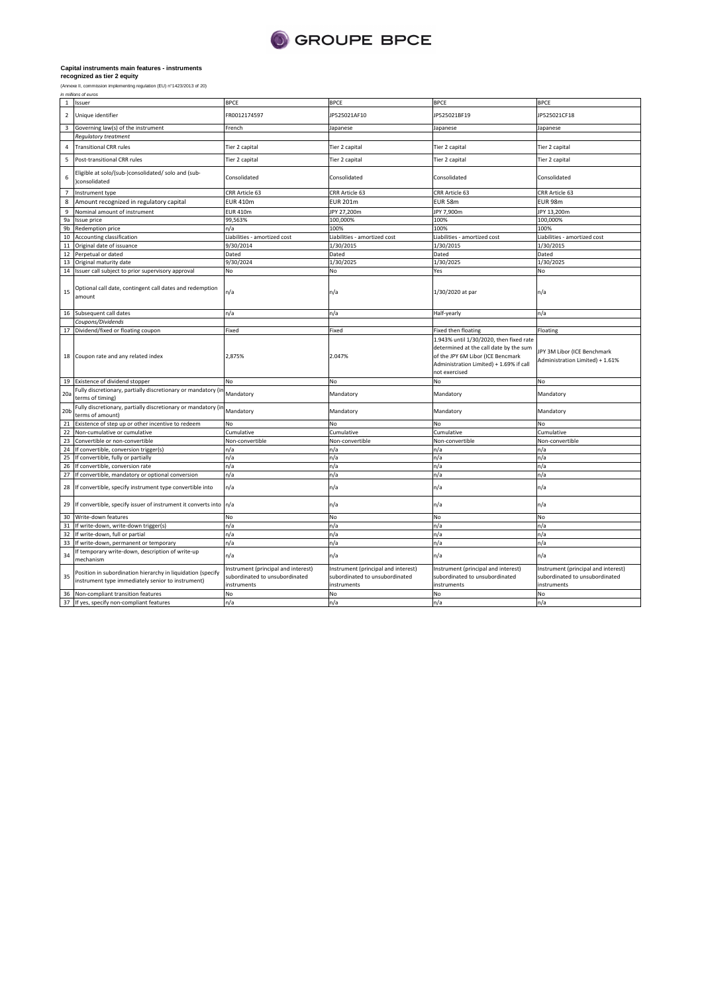

36 Non-compliant transition features 37 If yes, specify non-compliant features

instruments

|                         | recognized as tier z equity                                                                                      |                                                                                      |                                                                                      |                                                                                                                                                                                    |                                                                                      |
|-------------------------|------------------------------------------------------------------------------------------------------------------|--------------------------------------------------------------------------------------|--------------------------------------------------------------------------------------|------------------------------------------------------------------------------------------------------------------------------------------------------------------------------------|--------------------------------------------------------------------------------------|
|                         | (Annexe II, commission implementing regulation (EU) n°1423/2013 of 20)                                           |                                                                                      |                                                                                      |                                                                                                                                                                                    |                                                                                      |
|                         | in millions of euros                                                                                             |                                                                                      |                                                                                      |                                                                                                                                                                                    |                                                                                      |
| $\mathbf{1}$            | Issuer                                                                                                           | <b>BPCE</b>                                                                          | <b>BPCE</b>                                                                          | <b>BPCE</b>                                                                                                                                                                        | <b>BPCE</b>                                                                          |
| $\overline{2}$          | Unique identifier                                                                                                | FR0012174597                                                                         | JP525021AF10                                                                         | JP525021BF19                                                                                                                                                                       | JP525021CF18                                                                         |
| $\overline{\mathbf{3}}$ | Governing law(s) of the instrument                                                                               | French                                                                               | Japanese                                                                             | Japanese                                                                                                                                                                           | Japanese                                                                             |
|                         | <b>Regulatory treatment</b>                                                                                      |                                                                                      |                                                                                      |                                                                                                                                                                                    |                                                                                      |
| 4                       | <b>Transitional CRR rules</b>                                                                                    | Tier 2 capital                                                                       | Tier 2 capital                                                                       | Tier 2 capital                                                                                                                                                                     | Tier 2 capital                                                                       |
| 5                       | Post-transitional CRR rules                                                                                      | Tier 2 capital                                                                       | Tier 2 capital                                                                       | Tier 2 capital                                                                                                                                                                     | Tier 2 capital                                                                       |
| 6                       | Eligible at solo/(sub-)consolidated/ solo and (sub-<br>)consolidated                                             | Consolidated                                                                         | Consolidated                                                                         | Consolidated                                                                                                                                                                       | Consolidated                                                                         |
| $\overline{7}$          | Instrument type                                                                                                  | CRR Article 63                                                                       | CRR Article 63                                                                       | CRR Article 63                                                                                                                                                                     | CRR Article 63                                                                       |
| 8                       | Amount recognized in regulatory capital                                                                          | <b>EUR 410m</b>                                                                      | <b>EUR 201m</b>                                                                      | EUR 58m                                                                                                                                                                            | EUR 98m                                                                              |
| 9                       | Nominal amount of instrument                                                                                     | <b>EUR 410m</b>                                                                      | JPY 27,200m                                                                          | JPY 7,900m                                                                                                                                                                         | JPY 13,200m                                                                          |
| 9a                      | <b>Issue price</b>                                                                                               | 99,563%                                                                              | 100,000%                                                                             | 100%                                                                                                                                                                               | 100,000%                                                                             |
| 9b                      | Redemption price                                                                                                 | n/a                                                                                  | 100%                                                                                 | 100%                                                                                                                                                                               | 100%                                                                                 |
| 10                      | Accounting classification                                                                                        | Liabilities - amortized cost                                                         | Liabilities - amortized cost                                                         | Liabilities - amortized cost                                                                                                                                                       | Liabilities - amortized cost                                                         |
| $11\,$                  | Original date of issuance                                                                                        | 9/30/2014                                                                            | 1/30/2015                                                                            | 1/30/2015                                                                                                                                                                          | 1/30/2015                                                                            |
|                         | 12 Perpetual or dated                                                                                            | Dated                                                                                | Dated                                                                                | Dated                                                                                                                                                                              | Dated                                                                                |
|                         | 13 Original maturity date                                                                                        | 9/30/2024                                                                            | 1/30/2025                                                                            | 1/30/2025                                                                                                                                                                          | 1/30/2025                                                                            |
|                         | 14 Issuer call subject to prior supervisory approval                                                             | No                                                                                   | No                                                                                   | Yes                                                                                                                                                                                | No                                                                                   |
| 15                      | Optional call date, contingent call dates and redemption<br>amount                                               | n/a                                                                                  | n/a                                                                                  | 1/30/2020 at par                                                                                                                                                                   | n/a                                                                                  |
|                         | 16 Subsequent call dates                                                                                         | n/a                                                                                  | n/a                                                                                  | Half-yearly                                                                                                                                                                        | n/a                                                                                  |
|                         | Coupons/Dividends                                                                                                |                                                                                      |                                                                                      |                                                                                                                                                                                    |                                                                                      |
|                         | 17 Dividend/fixed or floating coupon                                                                             | Fixed                                                                                | Fixed                                                                                | Fixed then floating                                                                                                                                                                | Floating                                                                             |
|                         | 18 Coupon rate and any related index                                                                             | 2,875%                                                                               | 2.047%                                                                               | 1.943% until 1/30/2020, then fixed rate<br>determined at the call date by the sum<br>of the JPY 6M Libor (ICE Bencmark<br>Administration Limited) + 1.69% if call<br>not exercised | JPY 3M Libor (ICE Benchmark<br>Administration Limited) + 1.61%                       |
| 19                      | Existence of dividend stopper                                                                                    | No                                                                                   | No                                                                                   | No                                                                                                                                                                                 | No                                                                                   |
| 20a                     | Fully discretionary, partially discretionary or mandatory (in<br>terms of timing)                                | Mandatory                                                                            | Mandatory                                                                            | Mandatory                                                                                                                                                                          | Mandatory                                                                            |
| 20 <sub>b</sub>         | Fully discretionary, partially discretionary or mandatory (ir<br>terms of amount)                                | Mandatory                                                                            | Mandatory                                                                            | Mandatory                                                                                                                                                                          | Mandatory                                                                            |
| 21                      | Existence of step up or other incentive to redeem                                                                | No                                                                                   | No                                                                                   | No                                                                                                                                                                                 | No                                                                                   |
| 22                      | Non-cumulative or cumulative                                                                                     | Cumulative                                                                           | Cumulative                                                                           | Cumulative                                                                                                                                                                         | Cumulative                                                                           |
| 23                      | Convertible or non-convertible                                                                                   | Non-convertible                                                                      | Non-convertible                                                                      | Non-convertible                                                                                                                                                                    | Non-convertible                                                                      |
| 24                      | If convertible, conversion trigger(s)                                                                            | n/a                                                                                  | n/a                                                                                  | n/a                                                                                                                                                                                | n/a                                                                                  |
|                         | 25 If convertible, fully or partially                                                                            | n/a                                                                                  | n/a                                                                                  | n/a                                                                                                                                                                                | n/a                                                                                  |
| 26                      | If convertible, conversion rate                                                                                  |                                                                                      |                                                                                      | n/a                                                                                                                                                                                | n/a                                                                                  |
| 27                      | If convertible, mandatory or optional conversion                                                                 | n/a                                                                                  | n/a                                                                                  | n/a                                                                                                                                                                                | n/a                                                                                  |
| 28                      | If convertible, specify instrument type convertible into                                                         | n/a<br>n/a                                                                           | n/a<br>n/a                                                                           | n/a                                                                                                                                                                                | n/a                                                                                  |
|                         |                                                                                                                  |                                                                                      |                                                                                      |                                                                                                                                                                                    |                                                                                      |
| 29                      | If convertible, specify issuer of instrument it converts into                                                    | n/a                                                                                  | n/a                                                                                  | n/a                                                                                                                                                                                | n/a                                                                                  |
| 30                      | Write-down features                                                                                              | No                                                                                   | No                                                                                   | No                                                                                                                                                                                 | No                                                                                   |
|                         | 31 If write-down, write-down trigger(s)                                                                          | n/a                                                                                  | n/a                                                                                  | n/a                                                                                                                                                                                | n/a                                                                                  |
| 32                      | If write-down, full or partial                                                                                   | n/a                                                                                  | n/a                                                                                  | n/a                                                                                                                                                                                | n/a                                                                                  |
| 33                      | If write-down, permanent or temporary                                                                            | n/a                                                                                  | n/a                                                                                  | n/a                                                                                                                                                                                | n/a                                                                                  |
| 34                      | If temporary write-down, description of write-up<br>mechanism                                                    | n/a                                                                                  | n/a                                                                                  | n/a                                                                                                                                                                                | n/a                                                                                  |
| 35                      | Position in subordination hierarchy in liquidation (specify<br>instrument type immediately senior to instrument) | Instrument (principal and interest)<br>subordinated to unsubordinated<br>instruments | Instrument (principal and interest)<br>subordinated to unsubordinated<br>instrumants | Instrument (principal and interest)<br>subordinated to unsubordinated<br>inctrumante                                                                                               | Instrument (principal and interest)<br>subordinated to unsubordinated<br>instruments |

**instruments** 

No No No No n/a n/a n/a n/a

instruments

instruments<br>No<br>n/a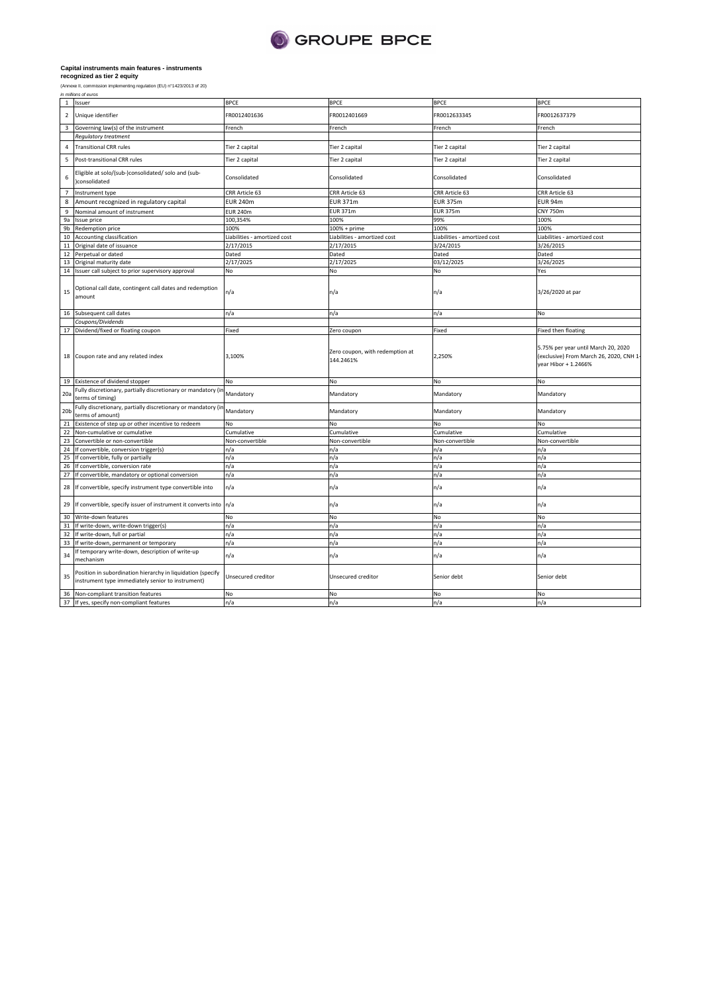

34 If temporary write-down, description of write-up mechanism

36 Non-compliant transition features 37 If yes, specify non-compliant features

Position in subordination hierarchy in liquidation (specify instrument type immediately senior to instrument)

35

|                 | recognized as tier 2 equity                                                       |                              |                                              |                              |                                                                                                        |  |  |  |  |
|-----------------|-----------------------------------------------------------------------------------|------------------------------|----------------------------------------------|------------------------------|--------------------------------------------------------------------------------------------------------|--|--|--|--|
|                 | (Annexe II, commission implementing regulation (EU) n°1423/2013 of 20)            |                              |                                              |                              |                                                                                                        |  |  |  |  |
|                 | in millions of euros                                                              |                              |                                              |                              |                                                                                                        |  |  |  |  |
|                 | 1 Issuer                                                                          | <b>BPCE</b>                  | <b>BPCE</b>                                  | <b>BPCE</b>                  | <b>BPCE</b>                                                                                            |  |  |  |  |
|                 | 2 Unique identifier                                                               | FR0012401636                 | FR0012401669                                 | FR0012633345                 | FR0012637379                                                                                           |  |  |  |  |
|                 | 3 Governing law(s) of the instrument                                              | French                       | French                                       | French                       | French                                                                                                 |  |  |  |  |
|                 | <b>Regulatory treatment</b>                                                       |                              |                                              |                              |                                                                                                        |  |  |  |  |
| 4               | <b>Transitional CRR rules</b>                                                     | Tier 2 capital               | Tier 2 capital                               | Tier 2 capital               | Tier 2 capital                                                                                         |  |  |  |  |
| 5               | Post-transitional CRR rules                                                       | Tier 2 capital               | Tier 2 capital                               | Tier 2 capital               | Tier 2 capital                                                                                         |  |  |  |  |
| 6               | Eligible at solo/(sub-)consolidated/ solo and (sub-<br>)consolidated              | Consolidated                 | Consolidated                                 | Consolidated                 | Consolidated                                                                                           |  |  |  |  |
| $\overline{7}$  | Instrument type                                                                   | CRR Article 63               | CRR Article 63                               | CRR Article 63               | CRR Article 63                                                                                         |  |  |  |  |
| 8               | Amount recognized in regulatory capital                                           | <b>EUR 240m</b>              | <b>EUR 371m</b>                              | <b>EUR 375m</b>              | <b>EUR 94m</b>                                                                                         |  |  |  |  |
| 9               | Nominal amount of instrument                                                      | <b>EUR 240m</b>              | <b>EUR 371m</b>                              | <b>EUR 375m</b>              | <b>CNY 750m</b>                                                                                        |  |  |  |  |
| 9a              | Issue price                                                                       | 100,354%                     | 100%                                         | 99%                          | 100%                                                                                                   |  |  |  |  |
|                 | 9b Redemption price                                                               | 100%                         | 100% + prime                                 | 100%                         | 100%                                                                                                   |  |  |  |  |
| 10              | Accounting classification                                                         | Liabilities - amortized cost | Liabilities - amortized cost                 | Liabilities - amortized cost | Liabilities - amortized cost                                                                           |  |  |  |  |
|                 | 11 Original date of issuance                                                      | 2/17/2015                    | 2/17/2015                                    | 3/24/2015                    | 3/26/2015                                                                                              |  |  |  |  |
|                 | 12 Perpetual or dated                                                             | Dated                        | Dated                                        | Dated                        | Dated                                                                                                  |  |  |  |  |
|                 | 13 Original maturity date                                                         | 2/17/2025                    | 2/17/2025                                    | 03/12/2025                   | 3/26/2025                                                                                              |  |  |  |  |
|                 | 14 Issuer call subject to prior supervisory approval                              | No                           | No                                           | No                           | Yes                                                                                                    |  |  |  |  |
| 15              | Optional call date, contingent call dates and redemption<br>amount                | n/a                          | n/a                                          | n/a                          | 3/26/2020 at par                                                                                       |  |  |  |  |
|                 | 16 Subsequent call dates                                                          | n/a                          | n/a                                          | n/a                          | No                                                                                                     |  |  |  |  |
|                 | Coupons/Dividends                                                                 |                              |                                              |                              |                                                                                                        |  |  |  |  |
|                 | 17 Dividend/fixed or floating coupon                                              | Fixed                        | Zero coupon                                  | Fixed                        | Fixed then floating                                                                                    |  |  |  |  |
|                 | 18 Coupon rate and any related index                                              | 3,100%                       | Zero coupon, with redemption at<br>144.2461% | 2,250%                       | 5.75% per year until March 20, 2020<br>(exclusive) From March 26, 2020, CNH 1-<br>year Hibor + 1.2466% |  |  |  |  |
|                 |                                                                                   |                              |                                              |                              |                                                                                                        |  |  |  |  |
|                 | 19 Existence of dividend stopper                                                  | No                           | No                                           | No                           | No                                                                                                     |  |  |  |  |
| 20a             | Fully discretionary, partially discretionary or mandatory (in<br>terms of timing) | Mandatory                    | Mandatory                                    | Mandatory                    | Mandatory                                                                                              |  |  |  |  |
| 20 <sub>b</sub> | Fully discretionary, partially discretionary or mandatory (<br>terms of amount)   | Mandatory                    | Mandatory                                    | Mandatory                    | Mandatory                                                                                              |  |  |  |  |
|                 | Existence of step up or other incentive to redeem                                 | No                           | No                                           | No                           | No                                                                                                     |  |  |  |  |
|                 | Non-cumulative or cumulative                                                      | Cumulative                   | Cumulative                                   | Cumulative                   | Cumulative                                                                                             |  |  |  |  |
|                 | Convertible or non-convertible                                                    | Non-convertible              | Non-convertible                              | Non-convertible              | Non-convertible                                                                                        |  |  |  |  |
|                 | 24 If convertible, conversion trigger(s)                                          | n/a                          | n/a                                          | n/a                          | n/a                                                                                                    |  |  |  |  |
|                 | 25 If convertible, fully or partially                                             | n/a                          | n/a                                          | n/a                          | n/a                                                                                                    |  |  |  |  |
| 26              | If convertible, conversion rate                                                   | n/a                          | n/a                                          | n/a                          | n/a                                                                                                    |  |  |  |  |
| 27              | If convertible, mandatory or optional conversion                                  | n/a                          | n/a                                          | n/a                          | n/a                                                                                                    |  |  |  |  |
|                 | 28 If convertible, specify instrument type convertible into                       | n/a                          | n/a                                          | n/a                          | n/a                                                                                                    |  |  |  |  |
| 21<br>22<br>23  | 29 If convertible, specify issuer of instrument it converts into n/a              |                              | n/a                                          | n/a                          | n/a                                                                                                    |  |  |  |  |
|                 | 30 Write-down features                                                            | No                           | No                                           | No                           | No                                                                                                     |  |  |  |  |
|                 | 31 If write-down, write-down trigger(s)                                           | n/a                          | n/a                                          | n/a                          | n/a                                                                                                    |  |  |  |  |
|                 | 32 If write-down, full or partial                                                 | n/a                          | n/a                                          | n/a                          | n/a                                                                                                    |  |  |  |  |

n/a n/a n/a n/a n/a n/a n/a n/a Unsecured creditor Unsecured creditor Senior debt Senior debt No No No No n/a n/a n/a n/a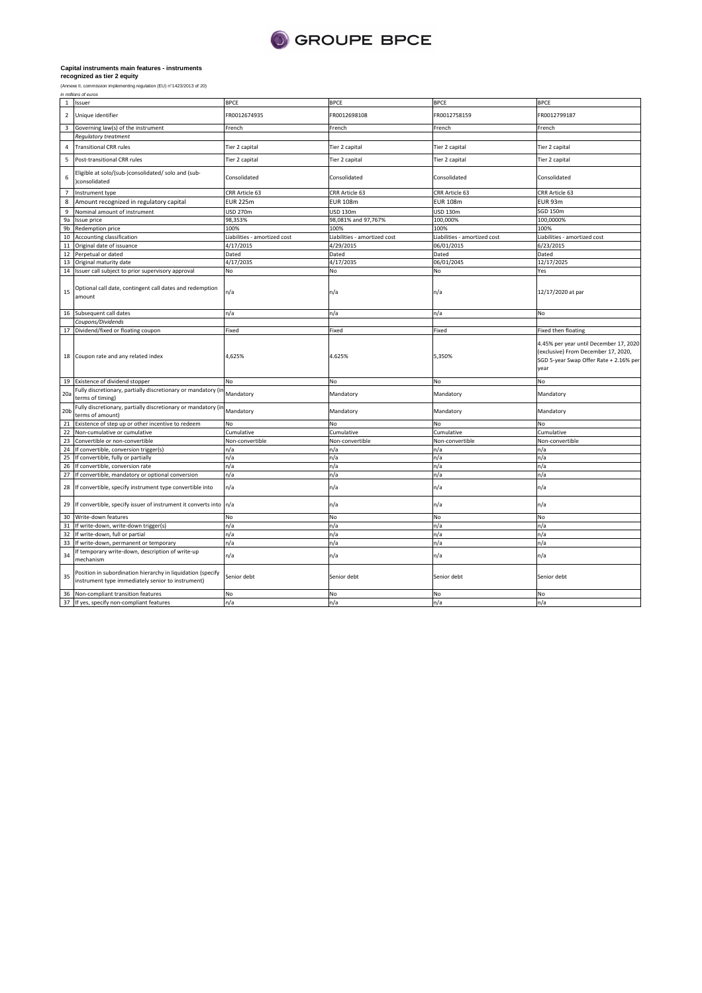

FR0012674935 FR0012698108 FR0012758159 FR0012799187

# **Capital instruments main features - instruments recognized as tier 2 equity**

|                | in millions of euros                                                       |                |                |                |             |
|----------------|----------------------------------------------------------------------------|----------------|----------------|----------------|-------------|
|                | <b>Issuer</b>                                                              | <b>BPCE</b>    | <b>BPCE</b>    | <b>BPCE</b>    | <b>BPCE</b> |
|                | Unique identifier                                                          | FR0012674935   | FR0012698108   | FR0012758159   | FR0012      |
| $\overline{3}$ | Governing law(s) of the instrument                                         | French         | French         | French         | French      |
|                | <b>Requiatory treatment</b>                                                |                |                |                |             |
|                | <b>Transitional CRR rules</b>                                              | Tier 2 capital | Tier 2 capital | Tier 2 capital | Tier 2 o    |
|                | Post-transitional CRR rules                                                | Tier 2 capital | Tier 2 capital | Tier 2 capital | Tier 2 o    |
| 6              | Eligible at solo/(sub-)consolidated/ solo and (sub-<br><b>consolidated</b> | Consolidated   | Consolidated   | Consolidated   | Consol      |
|                | Instrument type                                                            | CRR Article 63 | CRR Article 63 | CRR Article 63 | CRR Ar      |
|                |                                                                            |                |                |                |             |

| 4                | <b>Transitional CRR rules</b>                                                                                    | Tier 2 capital               | Tier 2 capital               | Tier 2 capital               | Tier 2 capital                                                                                                                  |
|------------------|------------------------------------------------------------------------------------------------------------------|------------------------------|------------------------------|------------------------------|---------------------------------------------------------------------------------------------------------------------------------|
| 5                | Post-transitional CRR rules                                                                                      | Tier 2 capital               | Tier 2 capital               | Tier 2 capital               | Tier 2 capital                                                                                                                  |
| 6                | Eligible at solo/(sub-)consolidated/ solo and (sub-<br>)consolidated                                             | Consolidated                 | Consolidated                 | Consolidated                 | Consolidated                                                                                                                    |
| $\overline{7}$   | Instrument type                                                                                                  | CRR Article 63               | CRR Article 63               | CRR Article 63               | CRR Article 63                                                                                                                  |
| 8                | Amount recognized in regulatory capital                                                                          | <b>EUR 225m</b>              | <b>EUR 108m</b>              | <b>EUR 108m</b>              | <b>EUR 93m</b>                                                                                                                  |
| $\boldsymbol{9}$ | Nominal amount of instrument                                                                                     | <b>USD 270m</b>              | USD 130m                     | USD 130m                     | <b>SGD 150m</b>                                                                                                                 |
| 9a               | Issue price                                                                                                      | 98,353%                      | 98,081% and 97,767%          | 100,000%                     | 100,0000%                                                                                                                       |
| 9b               | Redemption price                                                                                                 | 100%                         | 100%                         | 100%                         | 100%                                                                                                                            |
| 10               | Accounting classification                                                                                        | Liabilities - amortized cost | Liabilities - amortized cost | Liabilities - amortized cost | Liabilities - amortized cost                                                                                                    |
| 11               | Original date of issuance                                                                                        | 4/17/2015                    | 4/29/2015                    | 06/01/2015                   | 6/23/2015                                                                                                                       |
| 12               | Perpetual or dated                                                                                               | Dated                        | Dated                        | Dated                        | Dated                                                                                                                           |
| 13               | Original maturity date                                                                                           | 4/17/2035                    | 4/17/2035                    | 06/01/2045                   | 12/17/2025                                                                                                                      |
| 14               | Issuer call subject to prior supervisory approval                                                                | No                           | No                           | No                           | Yes                                                                                                                             |
| 15               | Optional call date, contingent call dates and redemption<br>amount                                               | n/a                          | n/a                          | n/a                          | 12/17/2020 at par                                                                                                               |
| 16               | Subsequent call dates                                                                                            | n/a                          | n/a                          | n/a                          | No                                                                                                                              |
|                  | Coupons/Dividends                                                                                                |                              |                              |                              |                                                                                                                                 |
| 17               | Dividend/fixed or floating coupon                                                                                | Fixed                        | Fixed                        | Fixed                        | Fixed then floating                                                                                                             |
| 18               | Coupon rate and any related index                                                                                | 4,625%                       | 4.625%                       | 5,350%                       | 4.45% per year until December 17, 2020<br>(exclusive) From December 17, 2020,<br>SGD 5-year Swap Offer Rate + 2.16% per<br>year |
| 19               | Existence of dividend stopper                                                                                    | No                           | No                           | No                           | No                                                                                                                              |
| 20a              | Fully discretionary, partially discretionary or mandatory (in<br>terms of timing)                                | Mandatory                    | Mandatory                    | Mandatory                    | Mandatory                                                                                                                       |
| 20 <sub>b</sub>  | Fully discretionary, partially discretionary or mandatory (in<br>terms of amount)                                | Mandatory                    | Mandatory                    | Mandatory                    | Mandatory                                                                                                                       |
| 21               | Existence of step up or other incentive to redeem                                                                | No                           | No                           | No                           | No                                                                                                                              |
| 22               | Non-cumulative or cumulative                                                                                     | Cumulative                   | Cumulative                   | Cumulative                   | Cumulative                                                                                                                      |
| 23               | Convertible or non-convertible                                                                                   | Non-convertible              | Non-convertible              | Non-convertible              | Non-convertible                                                                                                                 |
| 24               | If convertible, conversion trigger(s)                                                                            | n/a                          | n/a                          | n/a                          | n/a                                                                                                                             |
| 25               | If convertible, fully or partially                                                                               | n/a                          | n/a                          | n/a                          | n/a                                                                                                                             |
| 26               | If convertible, conversion rate                                                                                  | n/a                          | n/a                          | n/a                          | n/a                                                                                                                             |
| 27               | If convertible, mandatory or optional conversion                                                                 | n/a                          | n/a                          | n/a                          | n/a                                                                                                                             |
| 28               | If convertible, specify instrument type convertible into                                                         | n/a                          | n/a                          | n/a                          | n/a                                                                                                                             |
| 29               | If convertible, specify issuer of instrument it converts into                                                    | n/a                          | n/a                          | n/a                          | n/a                                                                                                                             |
| 30               | Write-down features                                                                                              | No                           | No                           | No                           | No                                                                                                                              |
| 31               | If write-down, write-down trigger(s)                                                                             | n/a                          | n/a                          | n/a                          | n/a                                                                                                                             |
| 32               | If write-down, full or partial                                                                                   | n/a                          | n/a                          | n/a                          | n/a                                                                                                                             |
| 33               | If write-down, permanent or temporary                                                                            | n/a                          | n/a                          | n/a                          | n/a                                                                                                                             |
| 34               | If temporary write-down, description of write-up<br>mechanism                                                    | n/a                          | n/a                          | n/a                          | n/a                                                                                                                             |
| 35               | Position in subordination hierarchy in liquidation (specify<br>instrument type immediately senior to instrument) | Senior debt                  | Senior debt                  | Senior debt                  | Senior debt                                                                                                                     |
| 36               | Non-compliant transition features                                                                                | No                           | No                           | No                           | No                                                                                                                              |
|                  | 37 If yes, specify non-compliant features                                                                        | n/a                          | n/a                          | n/a                          | n/a                                                                                                                             |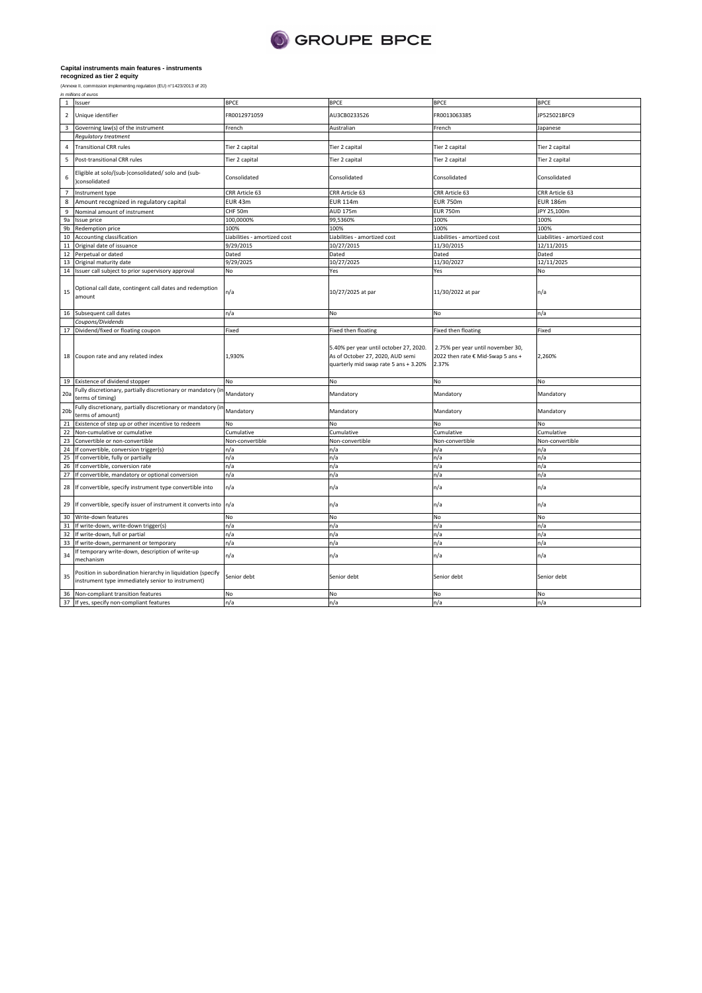

|                 | in millions of euros                                                                                             |                              |                                                                                                                     |                                                                                 |                              |
|-----------------|------------------------------------------------------------------------------------------------------------------|------------------------------|---------------------------------------------------------------------------------------------------------------------|---------------------------------------------------------------------------------|------------------------------|
| $\mathbf{1}$    | Issuer                                                                                                           | <b>BPCE</b>                  | BPCE                                                                                                                | <b>BPCE</b>                                                                     | <b>BPCE</b>                  |
| $\overline{2}$  | Unique identifier                                                                                                | FR0012971059                 | AU3CB0233526                                                                                                        | FR0013063385                                                                    | JP525021BFC9                 |
| 3               | Governing law(s) of the instrument                                                                               | French                       | Australian                                                                                                          | French                                                                          | Japanese                     |
|                 | <b>Regulatory treatment</b>                                                                                      |                              |                                                                                                                     |                                                                                 |                              |
| $\overline{4}$  | <b>Transitional CRR rules</b>                                                                                    | Tier 2 capital               | Tier 2 capital                                                                                                      | Tier 2 capital                                                                  | Tier 2 capital               |
| 5               | Post-transitional CRR rules                                                                                      | Tier 2 capital               | Tier 2 capital                                                                                                      | Tier 2 capital                                                                  | Tier 2 capital               |
| 6               | Eligible at solo/(sub-)consolidated/ solo and (sub-<br>)consolidated                                             | Consolidated                 | Consolidated                                                                                                        | Consolidated                                                                    | Consolidated                 |
| $\overline{7}$  | Instrument type                                                                                                  | CRR Article 63               | CRR Article 63                                                                                                      | CRR Article 63                                                                  | CRR Article 63               |
| 8               | Amount recognized in regulatory capital                                                                          | EUR 43m                      | <b>EUR 114m</b>                                                                                                     | <b>EUR 750m</b>                                                                 | <b>EUR 186m</b>              |
| 9               | Nominal amount of instrument                                                                                     | CHF 50m                      | AUD 175m                                                                                                            | <b>EUR 750m</b>                                                                 | JPY 25,100m                  |
|                 | 9a Issue price                                                                                                   | 100,0000%                    | 99,5360%                                                                                                            | 100%                                                                            | 100%                         |
| 9b              | Redemption price                                                                                                 | 100%                         | 100%                                                                                                                | 100%                                                                            | 100%                         |
|                 | 10 Accounting classification                                                                                     | Liabilities - amortized cost | Liabilities - amortized cost                                                                                        | Liabilities - amortized cost                                                    | Liabilities - amortized cost |
| 11              | Original date of issuance                                                                                        | 9/29/2015                    | 10/27/2015                                                                                                          | 11/30/2015                                                                      | 12/11/2015                   |
|                 | 12 Perpetual or dated                                                                                            | Dated                        | Dated                                                                                                               | Dated                                                                           | Dated                        |
|                 |                                                                                                                  |                              |                                                                                                                     |                                                                                 |                              |
|                 | 13 Original maturity date                                                                                        | 9/29/2025                    | 10/27/2025                                                                                                          | 11/30/2027                                                                      | 12/11/2025                   |
|                 | 14 Issuer call subject to prior supervisory approval                                                             | No                           | Yes                                                                                                                 | Yes                                                                             | No                           |
| 15              | Optional call date, contingent call dates and redemption<br>amount                                               | n/a                          | 10/27/2025 at par                                                                                                   | 11/30/2022 at par                                                               | n/a                          |
|                 | 16 Subsequent call dates                                                                                         | n/a                          | No                                                                                                                  | No                                                                              | n/a                          |
|                 | Coupons/Dividends                                                                                                |                              |                                                                                                                     |                                                                                 |                              |
|                 | 17 Dividend/fixed or floating coupon                                                                             | Fixed                        | Fixed then floating                                                                                                 | Fixed then floating                                                             | Fixed                        |
|                 | 18 Coupon rate and any related index                                                                             | 1,930%                       | 5.40% per year until october 27, 2020.<br>As of October 27, 2020, AUD semi<br>quarterly mid swap rate 5 ans + 3.20% | 2.75% per year until november 30,<br>2022 then rate € Mid-Swap 5 ans +<br>2.37% | 2,260%                       |
|                 | 19 Existence of dividend stopper                                                                                 | No                           | No                                                                                                                  | No                                                                              | No                           |
| 20a             | Fully discretionary, partially discretionary or mandatory (ir<br>terms of timing)                                | Mandatory                    | Mandatory                                                                                                           | Mandatory                                                                       | Mandatory                    |
| 20 <sub>b</sub> | Fully discretionary, partially discretionary or mandatory (in<br>terms of amount)                                | Mandatory                    | Mandatory                                                                                                           | Mandatory                                                                       | Mandatory                    |
| 21              | Existence of step up or other incentive to redeem                                                                | <b>No</b>                    | No                                                                                                                  | No                                                                              | No                           |
|                 | 22 Non-cumulative or cumulative                                                                                  | Cumulative                   | Cumulative                                                                                                          | Cumulative                                                                      | Cumulative                   |
| 23              | Convertible or non-convertible                                                                                   | Non-convertible              | Non-convertible                                                                                                     | Non-convertible                                                                 | Non-convertible              |
|                 | 24 If convertible, conversion trigger(s)                                                                         | n/a                          | n/a                                                                                                                 | n/a                                                                             | n/a                          |
| 25              | If convertible, fully or partially                                                                               | n/a                          | n/a                                                                                                                 | n/a                                                                             | n/a                          |
|                 | 26 If convertible, conversion rate                                                                               | n/a                          | n/a                                                                                                                 | n/a                                                                             | n/a                          |
| 27              | If convertible, mandatory or optional conversion                                                                 | n/a                          | n/a                                                                                                                 | n/a                                                                             | n/a                          |
| 28              | If convertible, specify instrument type convertible into                                                         | n/a                          | n/a                                                                                                                 | n/a                                                                             | n/a                          |
|                 | 29 If convertible, specify issuer of instrument it converts into n/a                                             |                              | n/a                                                                                                                 | n/a                                                                             | n/a                          |
| 30              | Write-down features                                                                                              | No                           | No                                                                                                                  | No                                                                              | No                           |
|                 | 31 If write-down, write-down trigger(s)                                                                          | n/a                          | n/a                                                                                                                 | n/a                                                                             | n/a                          |
|                 | 32 If write-down, full or partial                                                                                | n/a                          | n/a                                                                                                                 | n/a                                                                             | n/a                          |
| 33              | If write-down, permanent or temporary                                                                            | n/a                          | n/a                                                                                                                 | n/a                                                                             | n/a                          |
| 34              | If temporary write-down, description of write-up<br>mechanism                                                    | n/a                          | n/a                                                                                                                 | n/a                                                                             | n/a                          |
| 35              | Position in subordination hierarchy in liquidation (specify<br>instrument type immediately senior to instrument) | Senior debt                  | Senior debt                                                                                                         | Senior debt                                                                     | Senior debt                  |
|                 | 36 Non-compliant transition features                                                                             | <b>No</b>                    | No                                                                                                                  | No<br>n/a                                                                       | No                           |
|                 | 37 If yes, specify non-compliant features                                                                        | n/a                          |                                                                                                                     |                                                                                 | n/a                          |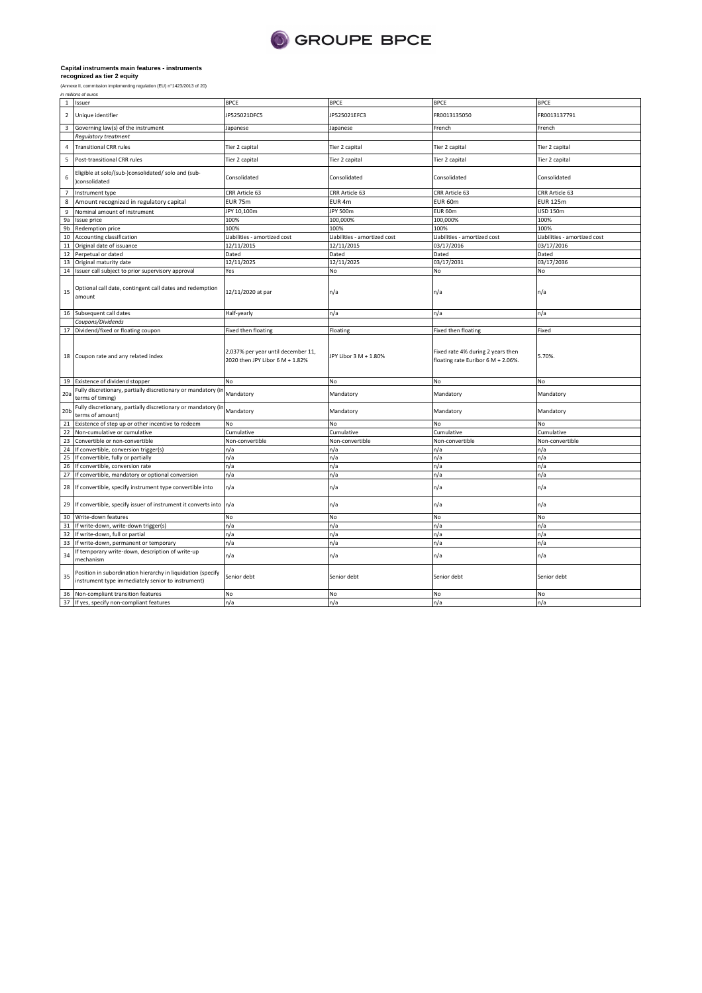

on (EU) n°1423/2013 of 20)

| (Annexe II, commission implementing regulation ( |  |
|--------------------------------------------------|--|
| in millions of euros                             |  |

|                 | 1 Issuer                                                                                                         | <b>BPCE</b>                                                           | <b>BPCE</b>                  | <b>BPCE</b>                                                             | <b>BPCE</b>                  |
|-----------------|------------------------------------------------------------------------------------------------------------------|-----------------------------------------------------------------------|------------------------------|-------------------------------------------------------------------------|------------------------------|
| $\overline{2}$  | Unique identifier                                                                                                | JP525021DFC5                                                          | JP525021EFC3                 | FR0013135050                                                            | FR0013137791                 |
| 3               | Governing law(s) of the instrument                                                                               | lapanese                                                              | Japanese                     | French                                                                  | French                       |
|                 | Regulatory treatment                                                                                             |                                                                       |                              |                                                                         |                              |
| $\overline{4}$  | <b>Transitional CRR rules</b>                                                                                    | Tier 2 capital                                                        | Tier 2 capital               | Tier 2 capital                                                          | Tier 2 capital               |
| 5               | Post-transitional CRR rules                                                                                      | Tier 2 capital                                                        | Tier 2 capital               | Tier 2 capital                                                          | Tier 2 capital               |
| 6               | Eligible at solo/(sub-)consolidated/ solo and (sub-<br>)consolidated                                             | Consolidated                                                          | Consolidated                 | Consolidated                                                            | Consolidated                 |
| $\overline{7}$  | Instrument type                                                                                                  | CRR Article 63                                                        | CRR Article 63               | CRR Article 63                                                          | CRR Article 63               |
| 8               | Amount recognized in regulatory capital                                                                          | <b>EUR 75m</b>                                                        | EUR <sub>4m</sub>            | EUR 60m                                                                 | <b>EUR 125m</b>              |
| 9               | Nominal amount of instrument                                                                                     | JPY 10,100m                                                           | JPY 500m                     | EUR 60m                                                                 | <b>USD 150m</b>              |
| 9a              | Issue price                                                                                                      | 100%                                                                  | 100,000%                     | 100,000%                                                                | 100%                         |
| 9b              | Redemption price                                                                                                 | 100%                                                                  | 100%                         | 100%                                                                    | 100%                         |
| 10              | Accounting classification                                                                                        | Liabilities - amortized cost                                          | Liabilities - amortized cost | Liabilities - amortized cost                                            | Liabilities - amortized cost |
| 11              | Original date of issuance                                                                                        | 12/11/2015                                                            | 12/11/2015                   | 03/17/2016                                                              | 03/17/2016                   |
| 12              | Perpetual or dated                                                                                               | Dated                                                                 | Dated                        | Dated                                                                   | Dated                        |
| 13              | Original maturity date                                                                                           | 12/11/2025                                                            | 12/11/2025                   | 03/17/2031                                                              | 03/17/2036                   |
|                 | 14 Issuer call subject to prior supervisory approval                                                             | Yes                                                                   | No                           | No                                                                      | No                           |
| 15              | Optional call date, contingent call dates and redemption<br>amount                                               | 12/11/2020 at par                                                     | n/a                          | n/a                                                                     | n/a                          |
|                 | 16 Subsequent call dates                                                                                         | Half-yearly                                                           | n/a                          | n/a                                                                     | n/a                          |
|                 | Coupons/Dividends                                                                                                |                                                                       |                              |                                                                         |                              |
|                 | 17 Dividend/fixed or floating coupon                                                                             | Fixed then floating                                                   | Floating                     | Fixed then floating                                                     | Fixed                        |
|                 | 18 Coupon rate and any related index                                                                             | 2.037% per year until december 11,<br>2020 then JPY Libor 6 M + 1.82% | JPY Libor 3 M + 1.80%        | Fixed rate 4% during 2 years then<br>floating rate Euribor 6 M + 2.06%. | 5.70%.                       |
|                 | 19 Existence of dividend stopper                                                                                 | No                                                                    | No                           | No                                                                      | No                           |
| 20 <sub>5</sub> | Fully discretionary, partially discretionary or mandatory (in<br>terms of timing)                                | Mandatory                                                             | Mandatory                    | Mandatory                                                               | Mandatory                    |
| 20 <sub>b</sub> | Fully discretionary, partially discretionary or mandatory (in<br>terms of amount)                                | Mandatory                                                             | Mandatory                    | Mandatory                                                               | Mandatory                    |
| 21              | Existence of step up or other incentive to redeem                                                                | No                                                                    | No                           | No                                                                      | No                           |
| 22              | Non-cumulative or cumulative                                                                                     | Cumulative                                                            | Cumulative                   | Cumulative                                                              | Cumulative                   |
| 23              | Convertible or non-convertible                                                                                   | Non-convertible                                                       | Non-convertible              | Non-convertible                                                         | Non-convertible              |
| 24              | If convertible, conversion trigger(s)                                                                            | n/a                                                                   | n/a                          | n/a                                                                     | n/a                          |
| 25              | If convertible, fully or partially                                                                               | n/a                                                                   | n/a                          | n/a                                                                     | n/a                          |
| 26              | If convertible, conversion rate                                                                                  | n/a                                                                   | n/a                          | n/a                                                                     | n/a                          |
| 27              | If convertible, mandatory or optional conversion                                                                 | n/a                                                                   | n/a                          | n/a                                                                     | n/a                          |
| 28              | If convertible, specify instrument type convertible into                                                         | n/a                                                                   | n/a                          | n/a                                                                     | n/a                          |
| 29              | If convertible, specify issuer of instrument it converts into n/a                                                |                                                                       | n/a                          | n/a                                                                     | n/a                          |
| 30              | Write-down features                                                                                              | No                                                                    | No                           | No                                                                      | No                           |
| 31              | If write-down, write-down trigger(s)                                                                             | n/a                                                                   | n/a                          | n/a                                                                     | n/a                          |
| 32              | If write-down, full or partial                                                                                   | n/a                                                                   | n/a                          | n/a                                                                     | n/a                          |
| 33              | If write-down, permanent or temporary                                                                            | n/a                                                                   | n/a                          | n/a                                                                     | n/a                          |
| 34              | If temporary write-down, description of write-up<br>mechanism                                                    | n/a                                                                   | n/a                          | n/a                                                                     | n/a                          |
| 35              | Position in subordination hierarchy in liquidation (specify<br>instrument type immediately senior to instrument) | Senior debt                                                           | Senior debt                  | Senior debt                                                             | Senior debt                  |
| 36              | Non-compliant transition features                                                                                | No                                                                    | No                           | No                                                                      | No                           |
|                 | 37 If yes, specify non-compliant features                                                                        | n/a                                                                   | n/a                          | n/a                                                                     | n/a                          |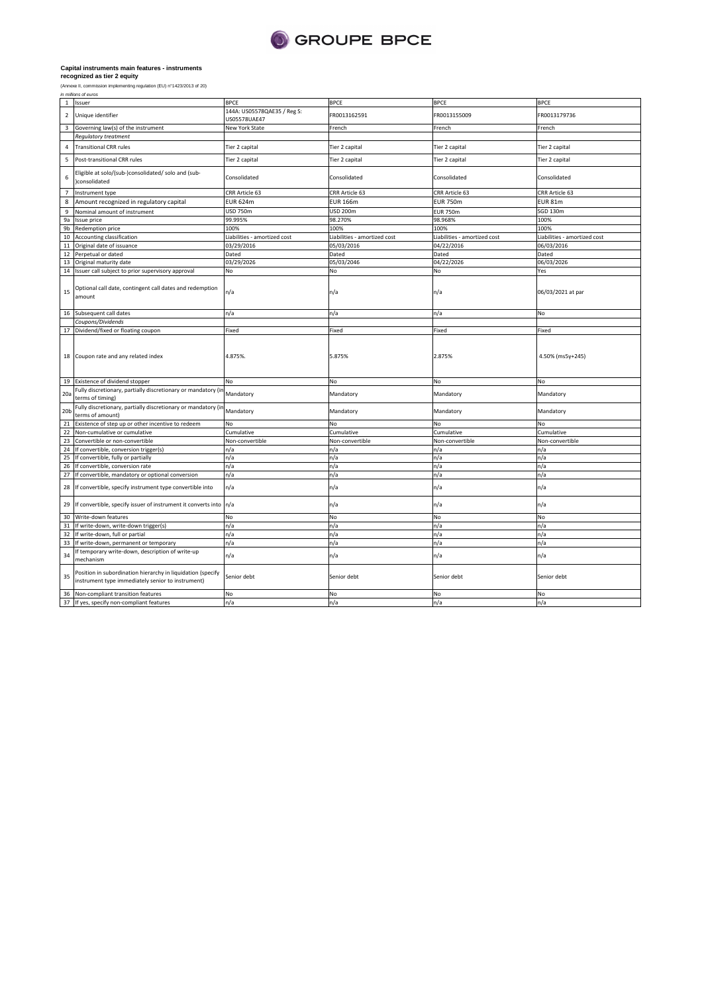

|                          | in millions of euros                                                                                             |                                             |                              |                              |                              |  |
|--------------------------|------------------------------------------------------------------------------------------------------------------|---------------------------------------------|------------------------------|------------------------------|------------------------------|--|
| $\,$ 1 $\,$              | Issuer                                                                                                           | <b>BPCE</b>                                 | <b>BPCE</b>                  | <b>BPCE</b>                  | <b>BPCE</b>                  |  |
| $\overline{2}$           | Unique identifier                                                                                                | 144A: US05578QAE35 / Reg S:<br>US05578UAE47 | FR0013162591                 | FR0013155009                 | FR0013179736                 |  |
| $\overline{\mathbf{3}}$  | Governing law(s) of the instrument                                                                               | New York State                              | French                       | French                       | French                       |  |
|                          | <b>Regulatory treatment</b>                                                                                      |                                             |                              |                              |                              |  |
| $\overline{4}$           | <b>Transitional CRR rules</b>                                                                                    | Tier 2 capital                              | Tier 2 capital               | Tier 2 capital               | Tier 2 capital               |  |
| $\overline{\phantom{a}}$ | Post-transitional CRR rules                                                                                      | Tier 2 capital                              | Tier 2 capital               | Tier 2 capital               | Tier 2 capital               |  |
| 6                        | Eligible at solo/(sub-)consolidated/ solo and (sub-<br>)consolidated                                             | Consolidated                                | Consolidated                 | Consolidated                 | Consolidated                 |  |
| $\overline{7}$           | Instrument type                                                                                                  | CRR Article 63                              | CRR Article 63               | CRR Article 63               | CRR Article 63               |  |
| $\,$ 8                   | Amount recognized in regulatory capital                                                                          | <b>EUR 624m</b>                             | <b>EUR 166m</b>              | <b>EUR 750m</b>              | <b>EUR 81m</b>               |  |
| $\mathsf g$              | Nominal amount of instrument                                                                                     | <b>USD 750m</b>                             | USD 200m                     | <b>EUR 750m</b>              | SGD 130m                     |  |
| 9a                       | Issue price                                                                                                      | 99.995%                                     | 98.270%                      | 98.968%                      | 100%                         |  |
| 9b                       | Redemption price                                                                                                 | 100%                                        | 100%                         | 100%                         | 100%                         |  |
| 10                       | Accounting classification                                                                                        | Liabilities - amortized cost                | Liabilities - amortized cost | Liabilities - amortized cost | Liabilities - amortized cost |  |
| 11                       | Original date of issuance                                                                                        | 03/29/2016                                  | 05/03/2016                   | 04/22/2016                   | 06/03/2016                   |  |
| 12                       | Perpetual or dated                                                                                               | Dated                                       | Dated                        | Dated                        | Dated                        |  |
| 13                       | Original maturity date                                                                                           | 03/29/2026                                  | 05/03/2046                   | 04/22/2026                   | 06/03/2026                   |  |
| $14\,$                   | Issuer call subject to prior supervisory approval                                                                | No                                          | No                           | No                           | Yes                          |  |
|                          |                                                                                                                  |                                             |                              |                              |                              |  |
| 15                       | Optional call date, contingent call dates and redemption<br>amount                                               | n/a                                         | n/a                          | n/a                          | 06/03/2021 at par            |  |
|                          | 16 Subsequent call dates                                                                                         | n/a                                         | n/a                          | n/a                          | No                           |  |
|                          | Coupons/Dividends                                                                                                |                                             |                              |                              |                              |  |
|                          | 17 Dividend/fixed or floating coupon                                                                             | Fixed                                       | Fixed                        | Fixed                        | Fixed                        |  |
|                          | 18 Coupon rate and any related index                                                                             | 4.875%.                                     | 5.875%                       | 2.875%                       | 4.50% (ms5y+245)             |  |
| 19                       | Existence of dividend stopper                                                                                    | No                                          | No                           | No                           | No                           |  |
|                          | Fully discretionary, partially discretionary or mandatory (in                                                    |                                             |                              |                              |                              |  |
| 20a                      | terms of timing)<br>Fully discretionary, partially discretionary or mandatory (in                                | Mandatory                                   | Mandatory                    | Mandatory                    | Mandatory                    |  |
| 20 <sub>b</sub>          | terms of amount)                                                                                                 | Mandatory                                   | Mandatory                    | Mandatory                    | Mandatory                    |  |
| 21                       | Existence of step up or other incentive to redeem                                                                | No.                                         | <b>No</b>                    | <b>No</b>                    | No                           |  |
| 22                       | Non-cumulative or cumulative                                                                                     | Cumulative                                  | Cumulative                   | Cumulative                   | Cumulative                   |  |
| 23                       | Convertible or non-convertible                                                                                   | Non-convertible                             | Non-convertible              | Non-convertible              | Non-convertible              |  |
| 24                       | If convertible, conversion trigger(s)                                                                            | n/a                                         | n/a                          | n/a                          | n/a                          |  |
| 25                       | If convertible, fully or partially                                                                               | n/a                                         | n/a                          | n/a                          | n/a                          |  |
| 26                       | If convertible, conversion rate                                                                                  | n/a                                         | n/a                          | n/a                          | n/a                          |  |
| 27                       | If convertible, mandatory or optional conversion                                                                 | n/a                                         | n/a                          | n/a                          | n/a                          |  |
| 28                       | If convertible, specify instrument type convertible into                                                         | n/a                                         | n/a                          | n/a                          | n/a                          |  |
| 29                       | If convertible, specify issuer of instrument it converts into                                                    | n/a                                         | n/a                          | n/a                          | n/a                          |  |
| 30                       | Write-down features                                                                                              | No                                          | No                           | No                           | No                           |  |
| 31                       | If write-down, write-down trigger(s)                                                                             | n/a                                         | n/a                          | n/a                          | n/a                          |  |
| 32                       | If write-down, full or partial                                                                                   | n/a                                         | n/a                          | n/a                          | n/a                          |  |
| 33                       | If write-down, permanent or temporary                                                                            | n/a                                         | n/a                          | n/a                          | n/a                          |  |
| 34                       | If temporary write-down, description of write-up<br>mechanism                                                    | n/a                                         | n/a                          | n/a                          | n/a                          |  |
| 35                       | Position in subordination hierarchy in liquidation (specify<br>instrument type immediately senior to instrument) | Senior debt                                 | Senior debt                  | Senior debt                  | Senior debt                  |  |
| 36                       | Non-compliant transition features                                                                                | No                                          | No                           | No                           | No                           |  |
|                          | 37 If yes, specify non-compliant features                                                                        | n/a                                         | n/a                          | n/a                          | n/a                          |  |